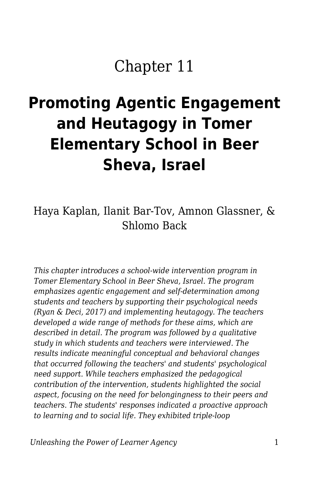# Chapter 11

# **Promoting Agentic Engagement and Heutagogy in Tomer Elementary School in Beer Sheva, Israel**

### Haya Kaplan, Ilanit Bar-Tov, Amnon Glassner, & Shlomo Back

*This chapter introduces a school-wide intervention program in Tomer Elementary School in Beer Sheva, Israel. The program emphasizes agentic engagement and self-determination among students and teachers by supporting their psychological needs (Ryan & Deci, 2017) and implementing heutagogy. The teachers developed a wide range of methods for these aims, which are described in detail. The program was followed by a qualitative study in which students and teachers were interviewed. The results indicate meaningful conceptual and behavioral changes that occurred following the teachers' and students' psychological need support. While teachers emphasized the pedagogical contribution of the intervention, students highlighted the social aspect, focusing on the need for belongingness to their peers and teachers. The students' responses indicated a proactive approach to learning and to social life. They exhibited triple-loop*

*Unleashing the Power of Learner Agency* 1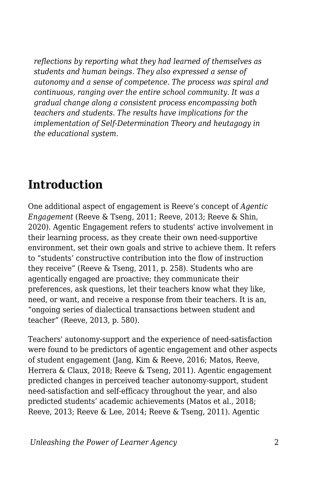*reflections by reporting what they had learned of themselves as students and human beings. They also expressed a sense of autonomy and a sense of competence. The process was spiral and continuous, ranging over the entire school community. It was a gradual change along a consistent process encompassing both teachers and students. The results have implications for the implementation of Self-Determination Theory and heutagogy in the educational system.*

### **Introduction**

One additional aspect of engagement is Reeve's concept of *Agentic Engagement* (Reeve & Tseng, 2011; Reeve, 2013; Reeve & Shin, 2020). Agentic Engagement refers to students' active involvement in their learning process, as they create their own need-supportive environment, set their own goals and strive to achieve them. It refers to "students' constructive contribution into the flow of instruction they receive" (Reeve & Tseng, 2011, p. 258). Students who are agentically engaged are proactive; they communicate their preferences, ask questions, let their teachers know what they like, need, or want, and receive a response from their teachers. It is an, "ongoing series of dialectical transactions between student and teacher" (Reeve, 2013, p. 580).

Teachers' autonomy-support and the experience of need-satisfaction were found to be predictors of agentic engagement and other aspects of student engagement (Jang, Kim & Reeve, 2016; Matos, Reeve, Herrera & Claux, 2018; Reeve & Tseng, 2011). Agentic engagement predicted changes in perceived teacher autonomy-support, student need-satisfaction and self-efficacy throughout the year, and also predicted students' academic achievements (Matos et al., 2018; Reeve, 2013; Reeve & Lee, 2014; Reeve & Tseng, 2011). Agentic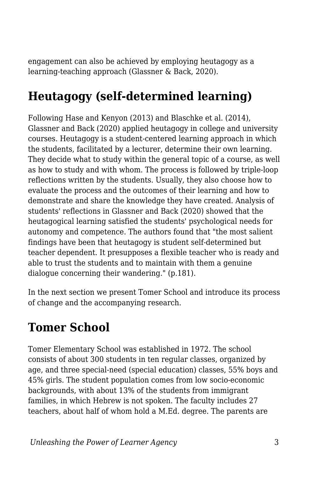engagement can also be achieved by employing heutagogy as a learning-teaching approach (Glassner & Back, 2020).

# **Heutagogy (self-determined learning)**

Following Hase and Kenyon (2013) and Blaschke et al. (2014), Glassner and Back (2020) applied heutagogy in college and university courses. Heutagogy is a student-centered learning approach in which the students, facilitated by a lecturer, determine their own learning. They decide what to study within the general topic of a course, as well as how to study and with whom. The process is followed by triple-loop reflections written by the students. Usually, they also choose how to evaluate the process and the outcomes of their learning and how to demonstrate and share the knowledge they have created. Analysis of students' reflections in Glassner and Back (2020) showed that the heutagogical learning satisfied the students' psychological needs for autonomy and competence. The authors found that "the most salient findings have been that heutagogy is student self-determined but teacher dependent. It presupposes a flexible teacher who is ready and able to trust the students and to maintain with them a genuine dialogue concerning their wandering." (p.181).

In the next section we present Tomer School and introduce its process of change and the accompanying research.

# **Tomer School**

Tomer Elementary School was established in 1972. The school consists of about 300 students in ten regular classes, organized by age, and three special-need (special education) classes, 55% boys and 45% girls. The student population comes from low socio-economic backgrounds, with about 13% of the students from immigrant families, in which Hebrew is not spoken. The faculty includes 27 teachers, about half of whom hold a M.Ed. degree. The parents are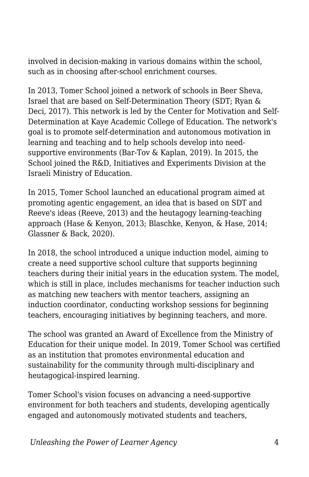involved in decision-making in various domains within the school, such as in choosing after-school enrichment courses.

In 2013, Tomer School joined a network of schools in Beer Sheva, Israel that are based on Self-Determination Theory (SDT; Ryan & Deci, 2017). This network is led by the Center for Motivation and Self-Determination at Kaye Academic College of Education. The network's goal is to promote self-determination and autonomous motivation in learning and teaching and to help schools develop into needsupportive environments (Bar-Tov & Kaplan, 2019). In 2015, the School joined the R&D, Initiatives and Experiments Division at the Israeli Ministry of Education.

In 2015, Tomer School launched an educational program aimed at promoting agentic engagement, an idea that is based on SDT and Reeve's ideas (Reeve, 2013) and the heutagogy learning-teaching approach (Hase & Kenyon, 2013; Blaschke, Kenyon, & Hase, 2014; Glassner & Back, 2020).

In 2018, the school introduced a unique induction model, aiming to create a need supportive school culture that supports beginning teachers during their initial years in the education system. The model, which is still in place, includes mechanisms for teacher induction such as matching new teachers with mentor teachers, assigning an induction coordinator, conducting workshop sessions for beginning teachers, encouraging initiatives by beginning teachers, and more.

The school was granted an Award of Excellence from the Ministry of Education for their unique model. In 2019, Tomer School was certified as an institution that promotes environmental education and sustainability for the community through multi-disciplinary and heutagogical-inspired learning.

Tomer School's vision focuses on advancing a need-supportive environment for both teachers and students, developing agentically engaged and autonomously motivated students and teachers,

*Unleashing the Power of Learner Agency* 4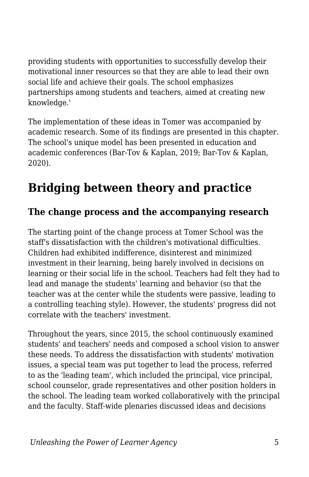providing students with opportunities to successfully develop their motivational inner resources so that they are able to lead their own social life and achieve their goals. The school emphasizes partnerships among students and teachers, aimed at creating new knowledge.'

The implementation of these ideas in Tomer was accompanied by academic research. Some of its findings are presented in this chapter. The school's unique model has been presented in education and academic conferences (Bar-Tov & Kaplan, 2019; Bar-Tov & Kaplan, 2020).

# **Bridging between theory and practice**

### **The change process and the accompanying research**

The starting point of the change process at Tomer School was the staff's dissatisfaction with the children's motivational difficulties. Children had exhibited indifference, disinterest and minimized investment in their learning, being barely involved in decisions on learning or their social life in the school. Teachers had felt they had to lead and manage the students' learning and behavior (so that the teacher was at the center while the students were passive, leading to a controlling teaching style). However, the students' progress did not correlate with the teachers' investment.

Throughout the years, since 2015, the school continuously examined students' and teachers' needs and composed a school vision to answer these needs. To address the dissatisfaction with students' motivation issues, a special team was put together to lead the process, referred to as the 'leading team', which included the principal, vice principal, school counselor, grade representatives and other position holders in the school. The leading team worked collaboratively with the principal and the faculty. Staff-wide plenaries discussed ideas and decisions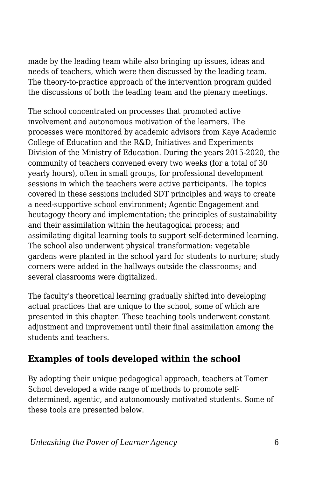made by the leading team while also bringing up issues, ideas and needs of teachers, which were then discussed by the leading team. The theory-to-practice approach of the intervention program guided the discussions of both the leading team and the plenary meetings.

The school concentrated on processes that promoted active involvement and autonomous motivation of the learners. The processes were monitored by academic advisors from Kaye Academic College of Education and the R&D, Initiatives and Experiments Division of the Ministry of Education. During the years 2015-2020, the community of teachers convened every two weeks (for a total of 30 yearly hours), often in small groups, for professional development sessions in which the teachers were active participants. The topics covered in these sessions included SDT principles and ways to create a need-supportive school environment; Agentic Engagement and heutagogy theory and implementation; the principles of sustainability and their assimilation within the heutagogical process; and assimilating digital learning tools to support self-determined learning. The school also underwent physical transformation: vegetable gardens were planted in the school yard for students to nurture; study corners were added in the hallways outside the classrooms; and several classrooms were digitalized.

The faculty's theoretical learning gradually shifted into developing actual practices that are unique to the school, some of which are presented in this chapter. These teaching tools underwent constant adjustment and improvement until their final assimilation among the students and teachers.

### **Examples of tools developed within the school**

By adopting their unique pedagogical approach, teachers at Tomer School developed a wide range of methods to promote selfdetermined, agentic, and autonomously motivated students. Some of these tools are presented below.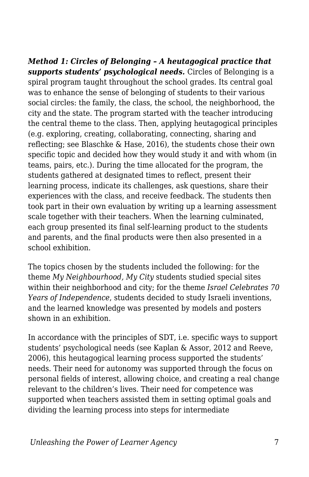*Method 1: Circles of Belonging – A heutagogical practice that supports students' psychological needs.* Circles of Belonging is a spiral program taught throughout the school grades. Its central goal was to enhance the sense of belonging of students to their various social circles: the family, the class, the school, the neighborhood, the city and the state. The program started with the teacher introducing the central theme to the class. Then, applying heutagogical principles (e.g. exploring, creating, collaborating, connecting, sharing and reflecting; see Blaschke & Hase, 2016), the students chose their own specific topic and decided how they would study it and with whom (in teams, pairs, etc.). During the time allocated for the program, the students gathered at designated times to reflect, present their learning process, indicate its challenges, ask questions, share their experiences with the class, and receive feedback. The students then took part in their own evaluation by writing up a learning assessment scale together with their teachers. When the learning culminated, each group presented its final self-learning product to the students and parents, and the final products were then also presented in a school exhibition.

The topics chosen by the students included the following: for the theme *My Neighbourhood, My City* students studied special sites within their neighborhood and city; for the theme *Israel Celebrates 70 Years of Independence*, students decided to study Israeli inventions, and the learned knowledge was presented by models and posters shown in an exhibition.

In accordance with the principles of SDT, i.e. specific ways to support students' psychological needs (see Kaplan & Assor, 2012 and Reeve, 2006), this heutagogical learning process supported the students' needs. Their need for autonomy was supported through the focus on personal fields of interest, allowing choice, and creating a real change relevant to the children's lives. Their need for competence was supported when teachers assisted them in setting optimal goals and dividing the learning process into steps for intermediate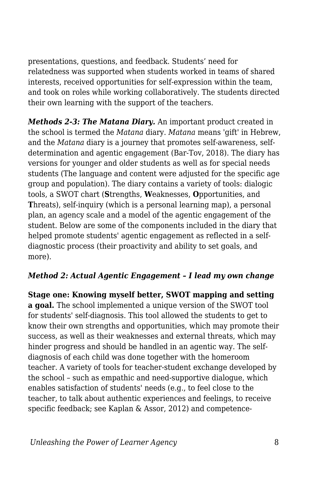presentations, questions, and feedback. Students' need for relatedness was supported when students worked in teams of shared interests, received opportunities for self-expression within the team, and took on roles while working collaboratively. The students directed their own learning with the support of the teachers.

*Methods 2-3: The Matana Diary.* An important product created in the school is termed the *Matana* diary. *Matana* means 'gift' in Hebrew, and the *Matana* diary is a journey that promotes self-awareness, selfdetermination and agentic engagement (Bar-Tov, 2018). The diary has versions for younger and older students as well as for special needs students (The language and content were adjusted for the specific age group and population). The diary contains a variety of tools: dialogic tools, a SWOT chart (**S**trengths, **W**eaknesses, **O**pportunities, and **T**hreats), self-inquiry (which is a personal learning map), a personal plan, an agency scale and a model of the agentic engagement of the student. Below are some of the components included in the diary that helped promote students' agentic engagement as reflected in a selfdiagnostic process (their proactivity and ability to set goals, and more).

#### *Method 2: Actual Agentic Engagement – I lead my own change*

**Stage one: Knowing myself better, SWOT mapping and setting a goal.** The school implemented a unique version of the SWOT tool for students' self-diagnosis. This tool allowed the students to get to know their own strengths and opportunities, which may promote their success, as well as their weaknesses and external threats, which may hinder progress and should be handled in an agentic way. The selfdiagnosis of each child was done together with the homeroom teacher. A variety of tools for teacher-student exchange developed by the school – such as empathic and need-supportive dialogue, which enables satisfaction of students' needs (e.g., to feel close to the teacher, to talk about authentic experiences and feelings, to receive specific feedback; see Kaplan & Assor, 2012) and competence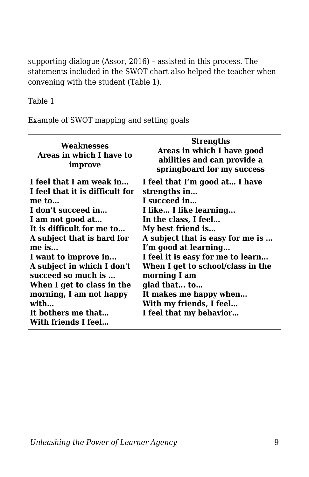supporting dialogue (Assor, 2016) – assisted in this process. The statements included in the SWOT chart also helped the teacher when convening with the student (Table 1).

#### Table 1

Example of SWOT mapping and setting goals

| Weaknesses<br>Areas in which I have to<br>improve                                                                                                                                                                                                                                                                                                                              | <b>Strengths</b><br>Areas in which I have good<br>abilities and can provide a<br>springboard for my success                                                                                                                                                                                                                                                                                 |
|--------------------------------------------------------------------------------------------------------------------------------------------------------------------------------------------------------------------------------------------------------------------------------------------------------------------------------------------------------------------------------|---------------------------------------------------------------------------------------------------------------------------------------------------------------------------------------------------------------------------------------------------------------------------------------------------------------------------------------------------------------------------------------------|
| I feel that I am weak in<br>I feel that it is difficult for<br>me to<br>I don't succeed in<br>I am not good at<br>It is difficult for me to<br>A subject that is hard for<br>$me$ is<br>I want to improve in<br>A subject in which I don't<br>succeed so much is<br>When I get to class in the<br>morning, I am not happy<br>with<br>It bothers me that<br>With friends I feel | I feel that I'm good at I have<br>strengths in<br>I succeed in<br>I like I like learning<br>In the class, I feel<br>My best friend is<br>A subject that is easy for me is<br>I'm good at learning<br>I feel it is easy for me to learn<br>When I get to school/class in the<br>morning I am<br>glad that to<br>It makes me happy when<br>With my friends, I feel<br>I feel that my behavior |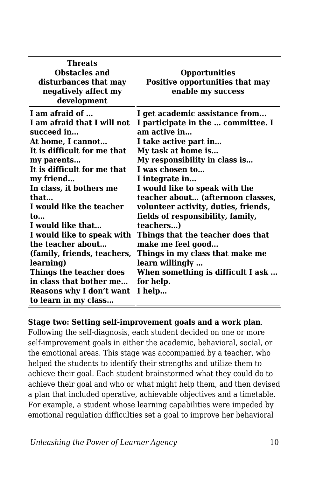| Threats<br><b>Obstacles and</b><br>disturbances that may<br>negatively affect my<br>development | <b>Opportunities</b><br>Positive opportunities that may<br>enable my success |
|-------------------------------------------------------------------------------------------------|------------------------------------------------------------------------------|
| I am afraid of                                                                                  | I get academic assistance from                                               |
| I am afraid that I will not<br>succeed in                                                       | I participate in the  committee. I<br>am active in                           |
| At home, I cannot                                                                               | I take active part in                                                        |
| It is difficult for me that                                                                     | My task at home is                                                           |
| my parents                                                                                      | My responsibility in class is                                                |
| It is difficult for me that                                                                     | I was chosen to                                                              |
| my friend                                                                                       | I integrate in                                                               |
| In class, it bothers me                                                                         | I would like to speak with the                                               |
| that                                                                                            | teacher about (afternoon classes,                                            |
| I would like the teacher                                                                        | volunteer activity, duties, friends,                                         |
| $\mathbf{t}$                                                                                    | fields of responsibility, family,                                            |
| I would like that                                                                               | teachers)                                                                    |
| I would like to speak with                                                                      | Things that the teacher does that                                            |
| the teacher about                                                                               | make me feel good                                                            |
| (family, friends, teachers,                                                                     | Things in my class that make me                                              |
| learning)                                                                                       | learn willingly                                                              |
| Things the teacher does                                                                         | When something is difficult I ask                                            |
| in class that bother me                                                                         | for help.                                                                    |
| Reasons why I don't want                                                                        | I help                                                                       |
| to learn in my class                                                                            |                                                                              |

#### **Stage two: Setting self-improvement goals and a work plan**.

Following the self-diagnosis, each student decided on one or more self-improvement goals in either the academic, behavioral, social, or the emotional areas. This stage was accompanied by a teacher, who helped the students to identify their strengths and utilize them to achieve their goal. Each student brainstormed what they could do to achieve their goal and who or what might help them, and then devised a plan that included operative, achievable objectives and a timetable. For example, a student whose learning capabilities were impeded by emotional regulation difficulties set a goal to improve her behavioral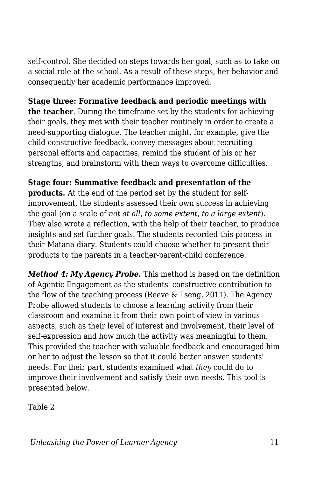self-control. She decided on steps towards her goal, such as to take on a social role at the school. As a result of these steps, her behavior and consequently her academic performance improved.

#### **Stage three: Formative feedback and periodic meetings with**

**the teacher**. During the timeframe set by the students for achieving their goals, they met with their teacher routinely in order to create a need-supporting dialogue. The teacher might, for example, give the child constructive feedback, convey messages about recruiting personal efforts and capacities, remind the student of his or her strengths, and brainstorm with them ways to overcome difficulties.

**Stage four: Summative feedback and presentation of the products.** At the end of the period set by the student for selfimprovement, the students assessed their own success in achieving the goal (on a scale of *not at all*, *to some extent*, *to a large extent*). They also wrote a reflection, with the help of their teacher, to produce insights and set further goals. The students recorded this process in their Matana diary. Students could choose whether to present their products to the parents in a teacher-parent-child conference.

*Method 4: My Agency Probe.* This method is based on the definition of Agentic Engagement as the students' constructive contribution to the flow of the teaching process (Reeve & Tseng, 2011). The Agency Probe allowed students to choose a learning activity from their classroom and examine it from their own point of view in various aspects, such as their level of interest and involvement, their level of self-expression and how much the activity was meaningful to them. This provided the teacher with valuable feedback and encouraged him or her to adjust the lesson so that it could better answer students' needs. For their part, students examined what *they* could do to improve their involvement and satisfy their own needs. This tool is presented below.

Table 2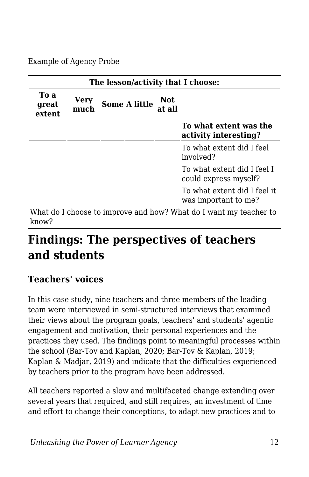Example of Agency Probe

| The lesson/activity that I choose:                                                                                                                                                                                                                                  |              |                      |                      |                                                      |  |
|---------------------------------------------------------------------------------------------------------------------------------------------------------------------------------------------------------------------------------------------------------------------|--------------|----------------------|----------------------|------------------------------------------------------|--|
| To a<br>great<br>extent                                                                                                                                                                                                                                             | Verv<br>much | <b>Some A little</b> | <b>Not</b><br>at all |                                                      |  |
|                                                                                                                                                                                                                                                                     |              |                      |                      | To what extent was the<br>activity interesting?      |  |
|                                                                                                                                                                                                                                                                     |              |                      |                      | To what extent did I feel<br>involved?               |  |
|                                                                                                                                                                                                                                                                     |              |                      |                      | To what extent did I feel I<br>could express myself? |  |
|                                                                                                                                                                                                                                                                     |              |                      |                      | To what extent did I feel it<br>was important to me? |  |
| $11.721$ and $1.7$ and $1.7$<br><b>TATION IN TURBE IN THE SECOND IN THE SECOND IN THE SECOND IN THE SECOND IN THE SECOND IN THE SECOND IN THE SECOND IN THE SECOND IN THE SECOND IN THE SECOND IN THE SECOND IN THE SECOND IN THE SECOND IN THE SECOND IN THE S</b> |              |                      |                      |                                                      |  |

What do I choose to improve and how? What do I want my teacher to know?

# **Findings: The perspectives of teachers and students**

### **Teachers' voices**

In this case study, nine teachers and three members of the leading team were interviewed in semi-structured interviews that examined their views about the program goals, teachers' and students' agentic engagement and motivation, their personal experiences and the practices they used. The findings point to meaningful processes within the school (Bar-Tov and Kaplan, 2020; Bar-Tov & Kaplan, 2019; Kaplan & Madjar, 2019) and indicate that the difficulties experienced by teachers prior to the program have been addressed.

All teachers reported a slow and multifaceted change extending over several years that required, and still requires, an investment of time and effort to change their conceptions, to adapt new practices and to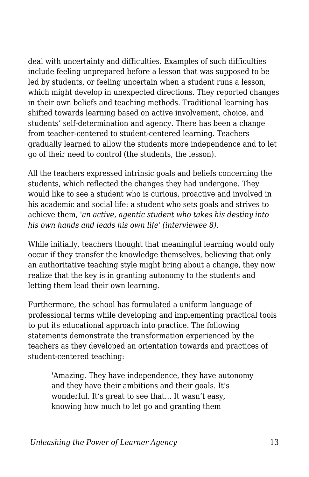deal with uncertainty and difficulties. Examples of such difficulties include feeling unprepared before a lesson that was supposed to be led by students, or feeling uncertain when a student runs a lesson, which might develop in unexpected directions. They reported changes in their own beliefs and teaching methods. Traditional learning has shifted towards learning based on active involvement, choice, and students' self-determination and agency. There has been a change from teacher-centered to student-centered learning. Teachers gradually learned to allow the students more independence and to let go of their need to control (the students, the lesson).

All the teachers expressed intrinsic goals and beliefs concerning the students, which reflected the changes they had undergone. They would like to see a student who is curious, proactive and involved in his academic and social life: a student who sets goals and strives to achieve them, *'an active, agentic student who takes his destiny into his own hands and leads his own life' (interviewee 8).*

While initially, teachers thought that meaningful learning would only occur if they transfer the knowledge themselves, believing that only an authoritative teaching style might bring about a change, they now realize that the key is in granting autonomy to the students and letting them lead their own learning.

Furthermore, the school has formulated a uniform language of professional terms while developing and implementing practical tools to put its educational approach into practice. The following statements demonstrate the transformation experienced by the teachers as they developed an orientation towards and practices of student-centered teaching:

'Amazing. They have independence, they have autonomy and they have their ambitions and their goals. It's wonderful. It's great to see that… It wasn't easy, knowing how much to let go and granting them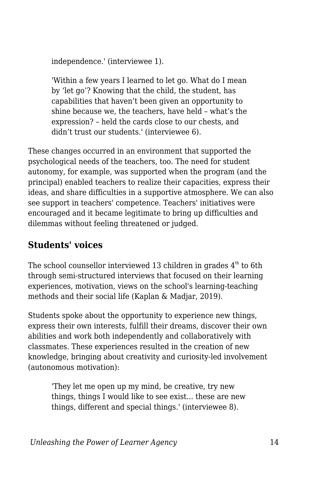independence.' (interviewee 1).

'Within a few years I learned to let go. What do I mean by 'let go'? Knowing that the child, the student, has capabilities that haven't been given an opportunity to shine because we, the teachers, have held – what's the expression? – held the cards close to our chests, and didn't trust our students.' (interviewee 6).

These changes occurred in an environment that supported the psychological needs of the teachers, too. The need for student autonomy, for example, was supported when the program (and the principal) enabled teachers to realize their capacities, express their ideas, and share difficulties in a supportive atmosphere. We can also see support in teachers' competence. Teachers' initiatives were encouraged and it became legitimate to bring up difficulties and dilemmas without feeling threatened or judged.

### **Students' voices**

The school counsellor interviewed 13 children in grades  $4<sup>th</sup>$  to 6th through semi-structured interviews that focused on their learning experiences, motivation, views on the school's learning-teaching methods and their social life (Kaplan & Madjar, 2019).

Students spoke about the opportunity to experience new things, express their own interests, fulfill their dreams, discover their own abilities and work both independently and collaboratively with classmates. These experiences resulted in the creation of new knowledge, bringing about creativity and curiosity-led involvement (autonomous motivation):

'They let me open up my mind, be creative, try new things, things I would like to see exist... these are new things, different and special things.' (interviewee 8).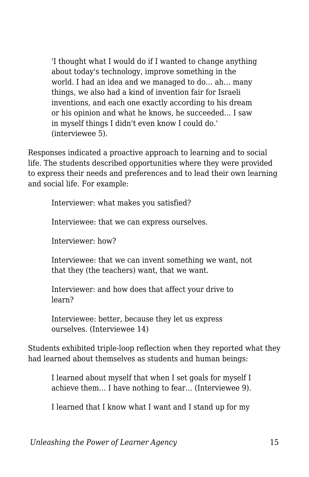'I thought what I would do if I wanted to change anything about today's technology, improve something in the world. I had an idea and we managed to do… ah… many things, we also had a kind of invention fair for Israeli inventions, and each one exactly according to his dream or his opinion and what he knows, he succeeded… I saw in myself things I didn't even know I could do.' (interviewee 5).

Responses indicated a proactive approach to learning and to social life. The students described opportunities where they were provided to express their needs and preferences and to lead their own learning and social life. For example:

Interviewer: what makes you satisfied?

Interviewee: that we can express ourselves.

Interviewer: how?

Interviewee: that we can invent something we want, not that they (the teachers) want, that we want.

Interviewer: and how does that affect your drive to learn?

Interviewee: better, because they let us express ourselves. (Interviewee 14)

Students exhibited triple-loop reflection when they reported what they had learned about themselves as students and human beings:

I learned about myself that when I set goals for myself I achieve them… I have nothing to fear… (Interviewee 9).

I learned that I know what I want and I stand up for my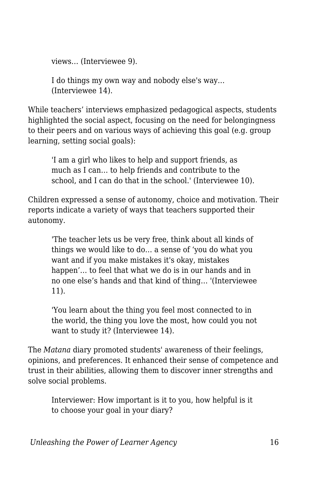views… (Interviewee 9).

I do things my own way and nobody else's way… (Interviewee 14).

While teachers' interviews emphasized pedagogical aspects, students highlighted the social aspect, focusing on the need for belongingness to their peers and on various ways of achieving this goal (e.g. group learning, setting social goals):

'I am a girl who likes to help and support friends, as much as I can… to help friends and contribute to the school, and I can do that in the school.' (Interviewee 10).

Children expressed a sense of autonomy, choice and motivation. Their reports indicate a variety of ways that teachers supported their autonomy.

'The teacher lets us be very free, think about all kinds of things we would like to do… a sense of 'you do what you want and if you make mistakes it's okay, mistakes happen'… to feel that what we do is in our hands and in no one else's hands and that kind of thing… '(Interviewee 11).

'You learn about the thing you feel most connected to in the world, the thing you love the most, how could you not want to study it? (Interviewee 14).

The *Matana* diary promoted students' awareness of their feelings, opinions, and preferences. It enhanced their sense of competence and trust in their abilities, allowing them to discover inner strengths and solve social problems.

Interviewer: How important is it to you, how helpful is it to choose your goal in your diary?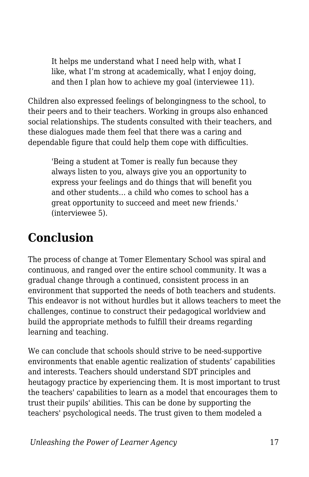It helps me understand what I need help with, what I like, what I'm strong at academically, what I enjoy doing, and then I plan how to achieve my goal (interviewee 11).

Children also expressed feelings of belongingness to the school, to their peers and to their teachers. Working in groups also enhanced social relationships. The students consulted with their teachers, and these dialogues made them feel that there was a caring and dependable figure that could help them cope with difficulties.

'Being a student at Tomer is really fun because they always listen to you, always give you an opportunity to express your feelings and do things that will benefit you and other students… a child who comes to school has a great opportunity to succeed and meet new friends.' (interviewee 5).

# **Conclusion**

The process of change at Tomer Elementary School was spiral and continuous, and ranged over the entire school community. It was a gradual change through a continued, consistent process in an environment that supported the needs of both teachers and students. This endeavor is not without hurdles but it allows teachers to meet the challenges, continue to construct their pedagogical worldview and build the appropriate methods to fulfill their dreams regarding learning and teaching.

We can conclude that schools should strive to be need-supportive environments that enable agentic realization of students' capabilities and interests. Teachers should understand SDT principles and heutagogy practice by experiencing them. It is most important to trust the teachers' capabilities to learn as a model that encourages them to trust their pupils' abilities. This can be done by supporting the teachers' psychological needs. The trust given to them modeled a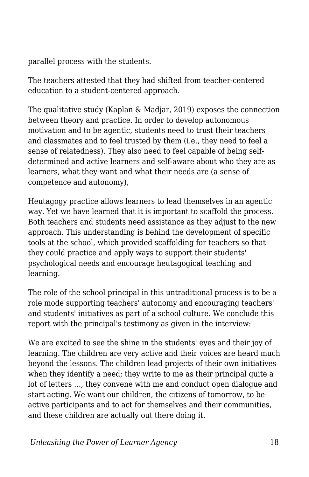parallel process with the students.

The teachers attested that they had shifted from teacher-centered education to a student-centered approach.

The qualitative study (Kaplan & Madjar, 2019) exposes the connection between theory and practice. In order to develop autonomous motivation and to be agentic, students need to trust their teachers and classmates and to feel trusted by them (i.e., they need to feel a sense of relatedness). They also need to feel capable of being selfdetermined and active learners and self-aware about who they are as learners, what they want and what their needs are (a sense of competence and autonomy),

Heutagogy practice allows learners to lead themselves in an agentic way. Yet we have learned that it is important to scaffold the process. Both teachers and students need assistance as they adjust to the new approach. This understanding is behind the development of specific tools at the school, which provided scaffolding for teachers so that they could practice and apply ways to support their students' psychological needs and encourage heutagogical teaching and learning.

The role of the school principal in this untraditional process is to be a role mode supporting teachers' autonomy and encouraging teachers' and students' initiatives as part of a school culture. We conclude this report with the principal's testimony as given in the interview:

We are excited to see the shine in the students' eyes and their joy of learning. The children are very active and their voices are heard much beyond the lessons. The children lead projects of their own initiatives when they identify a need; they write to me as their principal quite a lot of letters …, they convene with me and conduct open dialogue and start acting. We want our children, the citizens of tomorrow, to be active participants and to act for themselves and their communities, and these children are actually out there doing it.

*Unleashing the Power of Learner Agency* 28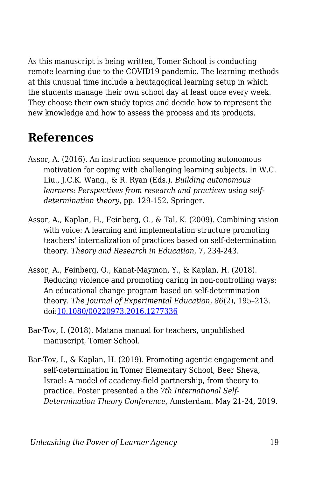As this manuscript is being written, Tomer School is conducting remote learning due to the COVID19 pandemic. The learning methods at this unusual time include a heutagogical learning setup in which the students manage their own school day at least once every week. They choose their own study topics and decide how to represent the new knowledge and how to assess the process and its products.

## **References**

- Assor, A. (2016). An instruction sequence promoting autonomous motivation for coping with challenging learning subjects. In W.C. Liu., J.C.K. Wang., & R. Ryan (Eds.). *Building autonomous learners: Perspectives from research and practices using selfdetermination theory*, pp. 129-152. Springer.
- Assor, A., Kaplan, H., Feinberg, O., & Tal, K. (2009). Combining vision with voice: A learning and implementation structure promoting teachers' internalization of practices based on self-determination theory. *Theory and Research in Education,* 7, 234-243.
- Assor, A., Feinberg, O., Kanat-Maymon, Y., & Kaplan, H. (2018). Reducing violence and promoting caring in non-controlling ways: An educational change program based on self-determination theory. *The Journal of Experimental Education, 86*(2), 195–213. doi[:10.1080/00220973.2016.1277336](https://doi.org/10.1080/00220973.2016.1277336)
- Bar-Tov, I. (2018). Matana manual for teachers, unpublished manuscript, Tomer School.
- Bar-Tov, I., & Kaplan, H. (2019). Promoting agentic engagement and self-determination in Tomer Elementary School, Beer Sheva, Israel: A model of academy-field partnership, from theory to practice. Poster presented a the *7th International Self-Determination Theory Conference,* Amsterdam*.* May 21-24, 2019.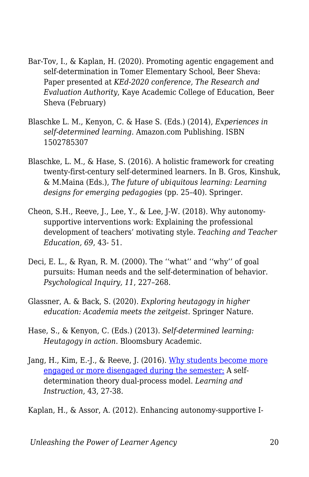- Bar-Tov, I., & Kaplan, H. (2020). Promoting agentic engagement and self-determination in Tomer Elementary School, Beer Sheva: Paper presented at *KEd-2020 conference, The Research and Evaluation Authority*, Kaye Academic College of Education, Beer Sheva (February)
- Blaschke L. M., Kenyon, C. & Hase S. (Eds.) (2014), *Experiences in self-determined learning*. Amazon.com Publishing. ISBN 1502785307
- Blaschke, L. M., & Hase, S. (2016). A holistic framework for creating twenty-first-century self-determined learners. In B. Gros, Kinshuk, & M.Maina (Eds.), *The future of ubiquitous learning: Learning designs for emerging pedagogies* (pp. 25–40). Springer.
- Cheon, S.H., Reeve, J., Lee, Y., & Lee, J-W. (2018). Why autonomysupportive interventions work: Explaining the professional development of teachers' motivating style. *Teaching and Teacher Education, 69*, 43- 51.
- Deci, E. L., & Ryan, R. M. (2000). The ''what'' and ''why'' of goal pursuits: Human needs and the self-determination of behavior. *Psychological Inquiry, 11*, 227–268.
- Glassner, A. & Back, S. (2020). *Exploring heutagogy in higher education: Academia meets the zeitgeist*. Springer Nature.
- Hase, S., & Kenyon, C. (Eds.) (2013). *Self-determined learning: Heutagogy in action*. Bloomsbury Academic.
- Jang, H., Kim, E.-J., & Reeve, J. (2016). [Why students become more](https://www.johnmarshallreeve.org/uploads/2/7/4/4/27446011/jang_kim_reeve2016.149212407.pdf) [engaged or more disengaged during the semester:](https://www.johnmarshallreeve.org/uploads/2/7/4/4/27446011/jang_kim_reeve2016.149212407.pdf) A selfdetermination theory dual-process model. *Learning and Instruction*, 43, 27-38.
- Kaplan, H., & Assor, A. (2012). Enhancing autonomy-supportive I-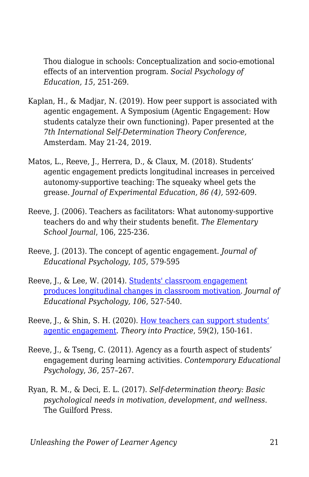Thou dialogue in schools: Conceptualization and socio-emotional effects of an intervention program. *Social Psychology of Education, 15*, 251-269.

- Kaplan, H., & Madjar, N. (2019). How peer support is associated with agentic engagement. A Symposium (Agentic Engagement: How students catalyze their own functioning). Paper presented at the *7th International Self-Determination Theory Conference,* Amsterdam. May 21-24, 2019.
- Matos, L., Reeve, J., Herrera, D., & Claux, M. (2018). Students' agentic engagement predicts longitudinal increases in perceived autonomy-supportive teaching: The squeaky wheel gets the grease. *Journal of Experimental Education, 86 (4),* 592-609.
- Reeve, J. (2006). Teachers as facilitators: What autonomy-supportive teachers do and why their students benefit. *The Elementary School Journal*, 106, 225-236.
- Reeve, J. (2013). The concept of agentic engagement. *Journal of Educational Psychology*, *105*, 579-595
- Reeve, J., & Lee, W. (2014). [Students' classroom engagement](http://www.johnmarshallreeve.org/uploads/2/7/4/4/27446011/reeve_lee2014.29341949.pdf) [produces longitudinal changes in classroom motivation](http://www.johnmarshallreeve.org/uploads/2/7/4/4/27446011/reeve_lee2014.29341949.pdf). *Journal of Educational Psychology, 106*, 527-540.
- Reeve, J., & Shin, S. H. (2020). [How teachers can support students'](https://www.johnmarshallreeve.org/uploads/2/7/4/4/27446011/reeve_shin_2020_tintop.pdf) [agentic engagement](https://www.johnmarshallreeve.org/uploads/2/7/4/4/27446011/reeve_shin_2020_tintop.pdf). *Theory into Practice*, 59(2), 150-161.
- Reeve, J., & Tseng, C. (2011). Agency as a fourth aspect of students' engagement during learning activities. *Contemporary Educational Psychology*, *36*, 257–267.
- Ryan, R. M., & Deci, E. L. (2017). *Self-determination theory: Basic psychological needs in motivation, development, and wellness*. The Guilford Press.